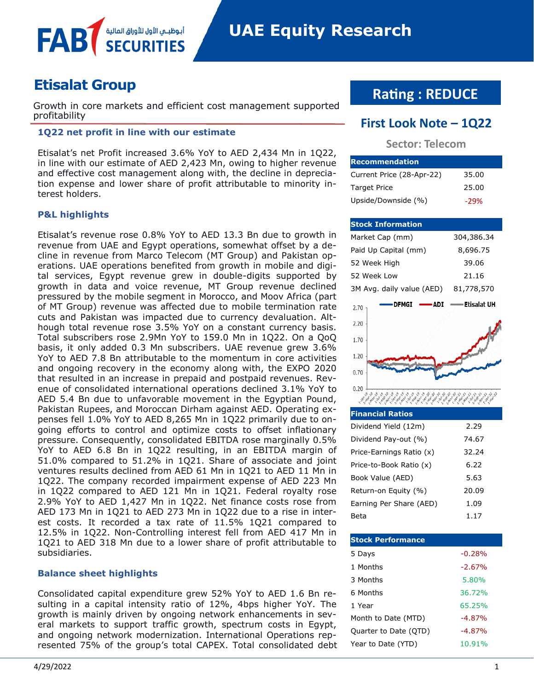

# **Etisalat Group**

FAE

Growth in core markets and efficient cost management supported profitability **First Look Note – 1Q22**

# **1Q22 net profit in line with our estimate**

أبوظبــي الأول للأوراق الماا

Etisalat's net Profit increased 3.6% YoY to AED 2,434 Mn in 1Q22, in line with our estimate of AED 2,423 Mn, owing to higher revenue and effective cost management along with, the decline in depreciation expense and lower share of profit attributable to minority interest holders.

### **P&L highlights**

Etisalat's revenue rose 0.8% YoY to AED 13.3 Bn due to growth in revenue from UAE and Egypt operations, somewhat offset by a decline in revenue from Marco Telecom (MT Group) and Pakistan operations. UAE operations benefited from growth in mobile and digital services, Egypt revenue grew in double-digits supported by growth in data and voice revenue, MT Group revenue declined pressured by the mobile segment in Morocco, and Moov Africa (part of MT Group) revenue was affected due to mobile termination rate cuts and Pakistan was impacted due to currency devaluation. Although total revenue rose 3.5% YoY on a constant currency basis. Total subscribers rose 2.9Mn YoY to 159.0 Mn in 1Q22. On a QoQ basis, it only added 0.3 Mn subscribers. UAE revenue grew 3.6% YoY to AED 7.8 Bn attributable to the momentum in core activities and ongoing recovery in the economy along with, the EXPO 2020 that resulted in an increase in prepaid and postpaid revenues. Revenue of consolidated international operations declined 3.1% YoY to AED 5.4 Bn due to unfavorable movement in the Egyptian Pound, Pakistan Rupees, and Moroccan Dirham against AED. Operating expenses fell 1.0% YoY to AED 8,265 Mn in 1Q22 primarily due to ongoing efforts to control and optimize costs to offset inflationary pressure. Consequently, consolidated EBITDA rose marginally 0.5% YoY to AED 6.8 Bn in 1Q22 resulting, in an EBITDA margin of 51.0% compared to 51.2% in 1Q21. Share of associate and joint ventures results declined from AED 61 Mn in 1Q21 to AED 11 Mn in 1Q22. The company recorded impairment expense of AED 223 Mn in 1Q22 compared to AED 121 Mn in 1Q21. Federal royalty rose 2.9% YoY to AED 1,427 Mn in 1Q22. Net finance costs rose from AED 173 Mn in 1Q21 to AED 273 Mn in 1Q22 due to a rise in interest costs. It recorded a tax rate of 11.5% 1Q21 compared to 12.5% in 1Q22. Non-Controlling interest fell from AED 417 Mn in 1Q21 to AED 318 Mn due to a lower share of profit attributable to subsidiaries.

### **Balance sheet highlights**

Consolidated capital expenditure grew 52% YoY to AED 1.6 Bn resulting in a capital intensity ratio of 12%, 4bps higher YoY. The growth is mainly driven by ongoing network enhancements in several markets to support traffic growth, spectrum costs in Egypt, and ongoing network modernization. International Operations represented 75% of the group's total CAPEX. Total consolidated debt

# **Rating : REDUCE**

# **Sector: Telecom**

| <b>Recommendation</b>     |        |
|---------------------------|--------|
| Current Price (28-Apr-22) | 35.00  |
| <b>Target Price</b>       | 25.00  |
| Upside/Downside (%)       | $-29%$ |

| <b>Stock Information</b>                                                                                                                                                                                                                  |                                                   |  |  |  |
|-------------------------------------------------------------------------------------------------------------------------------------------------------------------------------------------------------------------------------------------|---------------------------------------------------|--|--|--|
| Market Cap (mm)                                                                                                                                                                                                                           | 304,386.34                                        |  |  |  |
| Paid Up Capital (mm)                                                                                                                                                                                                                      | 8,696.75                                          |  |  |  |
| 52 Week High                                                                                                                                                                                                                              | 39.06                                             |  |  |  |
| 52 Week Low                                                                                                                                                                                                                               | 21.16                                             |  |  |  |
| 3M Avg. daily value (AED)                                                                                                                                                                                                                 | 81,778,570                                        |  |  |  |
| DFMGI<br>ADI<br>2.70                                                                                                                                                                                                                      | — Etisalat UH                                     |  |  |  |
| 2.20                                                                                                                                                                                                                                      |                                                   |  |  |  |
| 1.70                                                                                                                                                                                                                                      |                                                   |  |  |  |
| 1.20                                                                                                                                                                                                                                      |                                                   |  |  |  |
| 0.70                                                                                                                                                                                                                                      |                                                   |  |  |  |
| 0.20                                                                                                                                                                                                                                      |                                                   |  |  |  |
| ما هم المحمد المحمد المحمد المحمد المحمد المحمد<br>المحمد المحمد المحمد المحمد المحمد المحمد المحمد المحمد<br>L.July 19<br>19 - 19 - 20 - 20 - 20 - 20 - 20<br>Apr <sup>2</sup> - 30 - Apr <sup>2</sup> - Apr <sup>2</sup> - 31 - 50 - Af | 10 21 21<br>Jul 21<br>Jan 2<br>Algu <sup>ry</sup> |  |  |  |
| <b>Financial Ratios</b>                                                                                                                                                                                                                   |                                                   |  |  |  |
| Dividend Yield (12m)                                                                                                                                                                                                                      | 2.29                                              |  |  |  |
| 74.67<br>Dividend Pay-out (%)                                                                                                                                                                                                             |                                                   |  |  |  |
| Price-Earnings Ratio (x)                                                                                                                                                                                                                  | 32.24                                             |  |  |  |
|                                                                                                                                                                                                                                           |                                                   |  |  |  |

| Price-to-Book Ratio (x) | 6.22  |
|-------------------------|-------|
| Book Value (AED)        | 5.63  |
| Return-on Equity (%)    | 20.09 |
| Earning Per Share (AED) | 1.09  |
| Beta                    | 1.17  |

| <b>Stock Performance</b> |          |
|--------------------------|----------|
| 5 Days                   | $-0.28%$ |
| 1 Months                 | $-2.67%$ |
| 3 Months                 | 5.80%    |
| 6 Months                 | 36.72%   |
| 1 Year                   | 65.25%   |
| Month to Date (MTD)      | $-4.87%$ |
| Quarter to Date (QTD)    | $-4.87%$ |
| Year to Date (YTD)       | 10.91%   |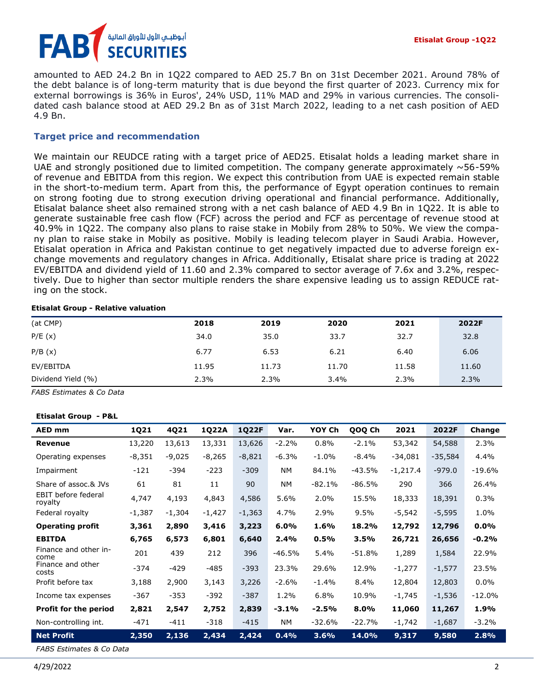

amounted to AED 24.2 Bn in 1Q22 compared to AED 25.7 Bn on 31st December 2021. Around 78% of the debt balance is of long-term maturity that is due beyond the first quarter of 2023. Currency mix for external borrowings is 36% in Euros', 24% USD, 11% MAD and 29% in various currencies. The consolidated cash balance stood at AED 29.2 Bn as of 31st March 2022, leading to a net cash position of AED 4.9 Bn.

# **Target price and recommendation**

We maintain our REUDCE rating with a target price of AED25. Etisalat holds a leading market share in UAE and strongly positioned due to limited competition. The company generate approximately  $\sim$  56-59% of revenue and EBITDA from this region. We expect this contribution from UAE is expected remain stable in the short-to-medium term. Apart from this, the performance of Egypt operation continues to remain on strong footing due to strong execution driving operational and financial performance. Additionally, Etisalat balance sheet also remained strong with a net cash balance of AED 4.9 Bn in 1Q22. It is able to generate sustainable free cash flow (FCF) across the period and FCF as percentage of revenue stood at 40.9% in 1Q22. The company also plans to raise stake in Mobily from 28% to 50%. We view the company plan to raise stake in Mobily as positive. Mobily is leading telecom player in Saudi Arabia. However, Etisalat operation in Africa and Pakistan continue to get negatively impacted due to adverse foreign exchange movements and regulatory changes in Africa. Additionally, Etisalat share price is trading at 2022 EV/EBITDA and dividend yield of 11.60 and 2.3% compared to sector average of 7.6x and 3.2%, respectively. Due to higher than sector multiple renders the share expensive leading us to assign REDUCE rating on the stock.

### **Etisalat Group - Relative valuation**

| (at CMP)           | 2018  | 2019  | 2020  | 2021  | 2022F |
|--------------------|-------|-------|-------|-------|-------|
| P/E(x)             | 34.0  | 35.0  | 33.7  | 32.7  | 32.8  |
| P/B(x)             | 6.77  | 6.53  | 6.21  | 6.40  | 6.06  |
| EV/EBITDA          | 11.95 | 11.73 | 11.70 | 11.58 | 11.60 |
| Dividend Yield (%) | 2.3%  | 2.3%  | 3.4%  | 2.3%  | 2.3%  |

*FABS Estimates & Co Data*

### **Etisalat Group - P&L**

| <b>AED mm</b>                  | 1Q21     | 4Q21     | 1Q22A    | 1Q22F    | Var.      | YOY Ch   | QOQ Ch   | 2021       | 2022F     | Change   |
|--------------------------------|----------|----------|----------|----------|-----------|----------|----------|------------|-----------|----------|
| Revenue                        | 13,220   | 13,613   | 13,331   | 13,626   | $-2.2%$   | 0.8%     | $-2.1%$  | 53,342     | 54,588    | 2.3%     |
| Operating expenses             | $-8,351$ | $-9,025$ | $-8,265$ | $-8,821$ | $-6.3%$   | $-1.0%$  | -8.4%    | $-34,081$  | $-35,584$ | 4.4%     |
| Impairment                     | $-121$   | $-394$   | $-223$   | $-309$   | <b>NM</b> | 84.1%    | -43.5%   | $-1,217.4$ | $-979.0$  | $-19.6%$ |
| Share of assoc.& JVs           | 61       | 81       | 11       | 90       | <b>NM</b> | $-82.1%$ | $-86.5%$ | 290        | 366       | 26.4%    |
| EBIT before federal<br>royalty | 4,747    | 4,193    | 4,843    | 4,586    | 5.6%      | 2.0%     | 15.5%    | 18,333     | 18,391    | 0.3%     |
| Federal royalty                | $-1,387$ | $-1,304$ | $-1,427$ | $-1,363$ | 4.7%      | 2.9%     | 9.5%     | $-5,542$   | $-5,595$  | 1.0%     |
| <b>Operating profit</b>        | 3,361    | 2,890    | 3,416    | 3,223    | 6.0%      | 1.6%     | 18.2%    | 12,792     | 12,796    | 0.0%     |
| <b>EBITDA</b>                  | 6,765    | 6,573    | 6,801    | 6,640    | 2.4%      | 0.5%     | 3.5%     | 26,721     | 26,656    | $-0.2%$  |
| Finance and other in-<br>come  | 201      | 439      | 212      | 396      | $-46.5%$  | 5.4%     | -51.8%   | 1,289      | 1,584     | 22.9%    |
| Finance and other<br>costs     | $-374$   | $-429$   | $-485$   | $-393$   | 23.3%     | 29.6%    | 12.9%    | $-1,277$   | $-1,577$  | 23.5%    |
| Profit before tax              | 3,188    | 2,900    | 3,143    | 3,226    | $-2.6%$   | $-1.4\%$ | 8.4%     | 12,804     | 12,803    | $0.0\%$  |
| Income tax expenses            | $-367$   | $-353$   | $-392$   | $-387$   | 1.2%      | 6.8%     | 10.9%    | $-1,745$   | $-1,536$  | $-12.0%$ |
| <b>Profit for the period</b>   | 2,821    | 2,547    | 2,752    | 2,839    | $-3.1%$   | $-2.5%$  | 8.0%     | 11,060     | 11,267    | 1.9%     |
| Non-controlling int.           | -471     | $-411$   | $-318$   | $-415$   | <b>NM</b> | $-32.6%$ | $-22.7%$ | $-1,742$   | $-1,687$  | $-3.2%$  |
| <b>Net Profit</b>              | 2,350    | 2,136    | 2,434    | 2,424    | 0.4%      | 3.6%     | 14.0%    | 9,317      | 9,580     | 2.8%     |

*FABS Estimates & Co Data*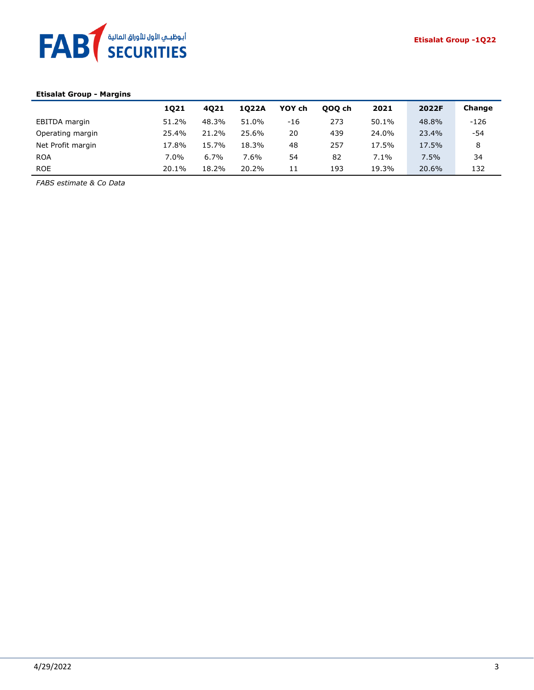

# **Etisalat Group - Margins**

|                   | 1021    | 4021  | 1022A   | YOY ch | 000 ch | 2021  | 2022F | Change |
|-------------------|---------|-------|---------|--------|--------|-------|-------|--------|
| EBITDA margin     | 51.2%   | 48.3% | 51.0%   | -16    | 273    | 50.1% | 48.8% | $-126$ |
| Operating margin  | 25.4%   | 21.2% | 25.6%   | 20     | 439    | 24.0% | 23.4% | -54    |
| Net Profit margin | 17.8%   | 15.7% | 18.3%   | 48     | 257    | 17.5% | 17.5% | 8      |
| <b>ROA</b>        | $7.0\%$ | 6.7%  | $7.6\%$ | 54     | 82     | 7.1%  | 7.5%  | 34     |
| <b>ROE</b>        | 20.1%   | 18.2% | 20.2%   | 11     | 193    | 19.3% | 20.6% | 132    |

*FABS estimate & Co Data*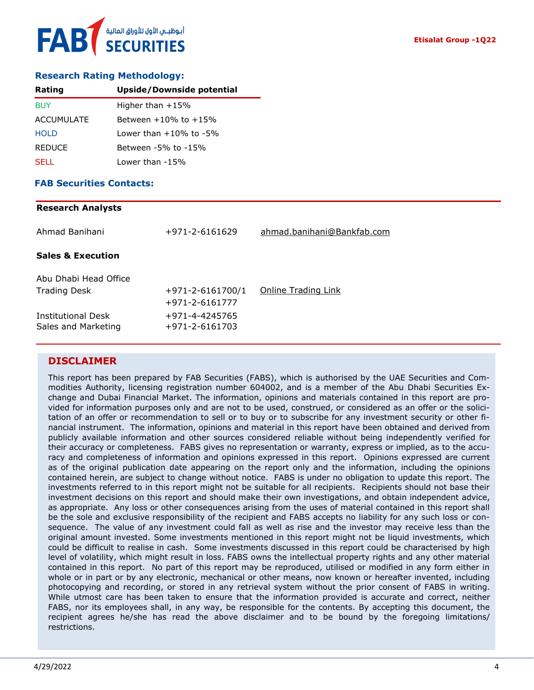## **Research Rating Methodology:**

| Rating            | <b>Upside/Downside potential</b> |
|-------------------|----------------------------------|
| <b>BUY</b>        | Higher than $+15%$               |
| <b>ACCUMULATE</b> | Between $+10\%$ to $+15\%$       |
| <b>HOLD</b>       | Lower than $+10\%$ to $-5\%$     |
| <b>REDUCE</b>     | Between -5% to -15%              |
| <b>SELL</b>       | Lower than -15%                  |

### **FAB Securities Contacts:**

# **Research Analysts** Ahmad Banihani +971-2-6161629 [ahmad.banihani@Bankfab.com](mailto:ahmad.banihani@Bankfab.com) **Sales & Execution** Abu Dhabi Head Office Trading Desk  $+971-2-6161700/1$  [Online Trading Link](http://www.nbad.com/countries/en-ae/Brokerage/WhatWeOffer/Pages/OnlineTrading.aspx) +971-2-6161777 Institutional Desk +971-4-4245765 Sales and Marketing +971-2-6161703

# **DISCLAIMER**

This report has been prepared by FAB Securities (FABS), which is authorised by the UAE Securities and Commodities Authority, licensing registration number 604002, and is a member of the Abu Dhabi Securities Exchange and Dubai Financial Market. The information, opinions and materials contained in this report are provided for information purposes only and are not to be used, construed, or considered as an offer or the solicitation of an offer or recommendation to sell or to buy or to subscribe for any investment security or other financial instrument. The information, opinions and material in this report have been obtained and derived from publicly available information and other sources considered reliable without being independently verified for their accuracy or completeness. FABS gives no representation or warranty, express or implied, as to the accuracy and completeness of information and opinions expressed in this report. Opinions expressed are current as of the original publication date appearing on the report only and the information, including the opinions contained herein, are subject to change without notice. FABS is under no obligation to update this report. The investments referred to in this report might not be suitable for all recipients. Recipients should not base their investment decisions on this report and should make their own investigations, and obtain independent advice, as appropriate. Any loss or other consequences arising from the uses of material contained in this report shall be the sole and exclusive responsibility of the recipient and FABS accepts no liability for any such loss or consequence. The value of any investment could fall as well as rise and the investor may receive less than the original amount invested. Some investments mentioned in this report might not be liquid investments, which could be difficult to realise in cash. Some investments discussed in this report could be characterised by high level of volatility, which might result in loss. FABS owns the intellectual property rights and any other material contained in this report. No part of this report may be reproduced, utilised or modified in any form either in whole or in part or by any electronic, mechanical or other means, now known or hereafter invented, including photocopying and recording, or stored in any retrieval system without the prior consent of FABS in writing. While utmost care has been taken to ensure that the information provided is accurate and correct, neither FABS, nor its employees shall, in any way, be responsible for the contents. By accepting this document, the recipient agrees he/she has read the above disclaimer and to be bound by the foregoing limitations/ restrictions.